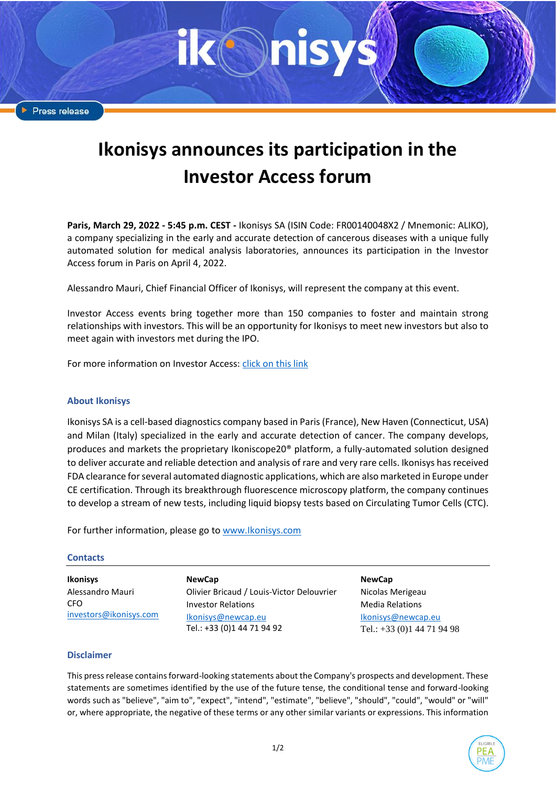Press release

## **Ikonisys announces its participation in the Investor Access forum**

**Paris, March 29, 2022 - 5:45 p.m. CEST -** Ikonisys SA (ISIN Code: FR00140048X2 / Mnemonic: ALIKO), a company specializing in the early and accurate detection of cancerous diseases with a unique fully automated solution for medical analysis laboratories, announces its participation in the Investor Access forum in Paris on April 4, 2022.

Alessandro Mauri, Chief Financial Officer of Ikonisys, will represent the company at this event.

Investor Access events bring together more than 150 companies to foster and maintain strong relationships with investors. This will be an opportunity for Ikonisys to meet new investors but also to meet again with investors met during the IPO.

For more information on Investor Access[: click on this link](https://www.investoraccess.fr/)

## **About Ikonisys**

Ikonisys SA is a cell-based diagnostics company based in Paris (France), New Haven (Connecticut, USA) and Milan (Italy) specialized in the early and accurate detection of cancer. The company develops, produces and markets the proprietary Ikoniscope20® platform, a fully-automated solution designed to deliver accurate and reliable detection and analysis of rare and very rare cells. Ikonisys has received FDA clearance for several automated diagnostic applications, which are also marketed in Europe under CE certification. Through its breakthrough fluorescence microscopy platform, the company continues to develop a stream of new tests, including liquid biopsy tests based on Circulating Tumor Cells (CTC).

For further information, please go to [www.Ikonisys.com](http://www.ikonisys.com/)

## **Contacts**

**Ikonisys** Alessandro Mauri **CFO** [investors@ikonisys.com](mailto:investors@ikonisys.com)

**NewCap** Olivier Bricaud / Louis-Victor Delouvrier Investor Relations [Ikonisys@newcap.eu](mailto:ikonisys@newcap.eu) Tel.: +33 (0)1 44 71 94 92

**NewCap**

Nicolas Merigeau Media Relations [Ikonisys@newcap.eu](mailto:ikonisys@newcap.eu) Tel.: +33 (0)1 44 71 94 98

## **Disclaimer**

This press release contains forward-looking statements about the Company's prospects and development. These statements are sometimes identified by the use of the future tense, the conditional tense and forward-looking words such as "believe", "aim to", "expect", "intend", "estimate", "believe", "should", "could", "would" or "will" or, where appropriate, the negative of these terms or any other similar variants or expressions. This information